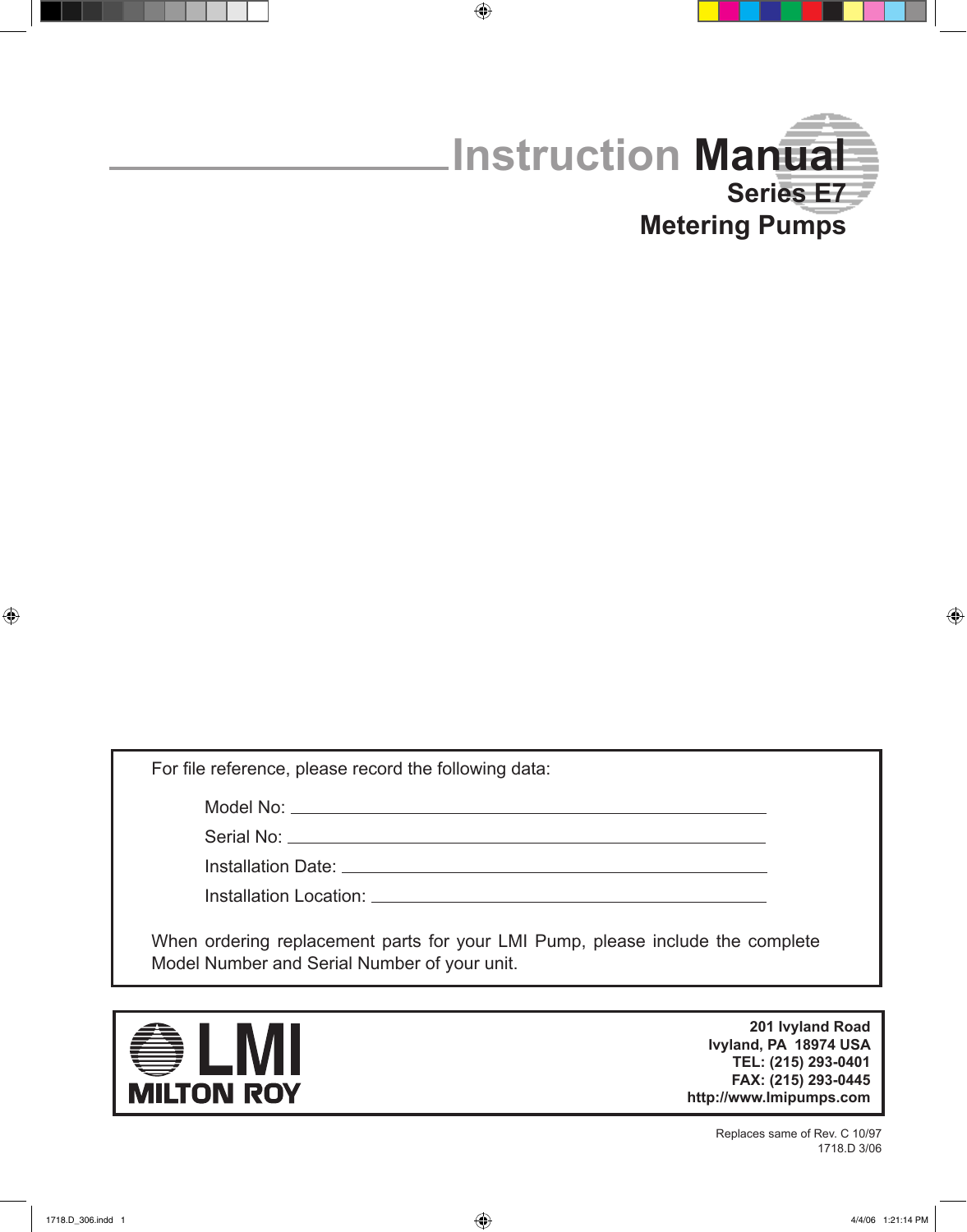

For file reference, please record the following data:

Model No:

Serial No: \_\_

Installation Date: <u>2000 Contractor</u>

Installation Location:

When ordering replacement parts for your LMI Pump, please include the complete Model Number and Serial Number of your unit.

 $\bigoplus$ 



**201 Ivyland Road Ivyland, PA 18974 USA TEL: (215) 293-0401 FAX: (215) 293-0445 http://www.Imipumps.com**

> Replaces same of Rev. C 10/97 1718.D 3/06

 $\bigoplus$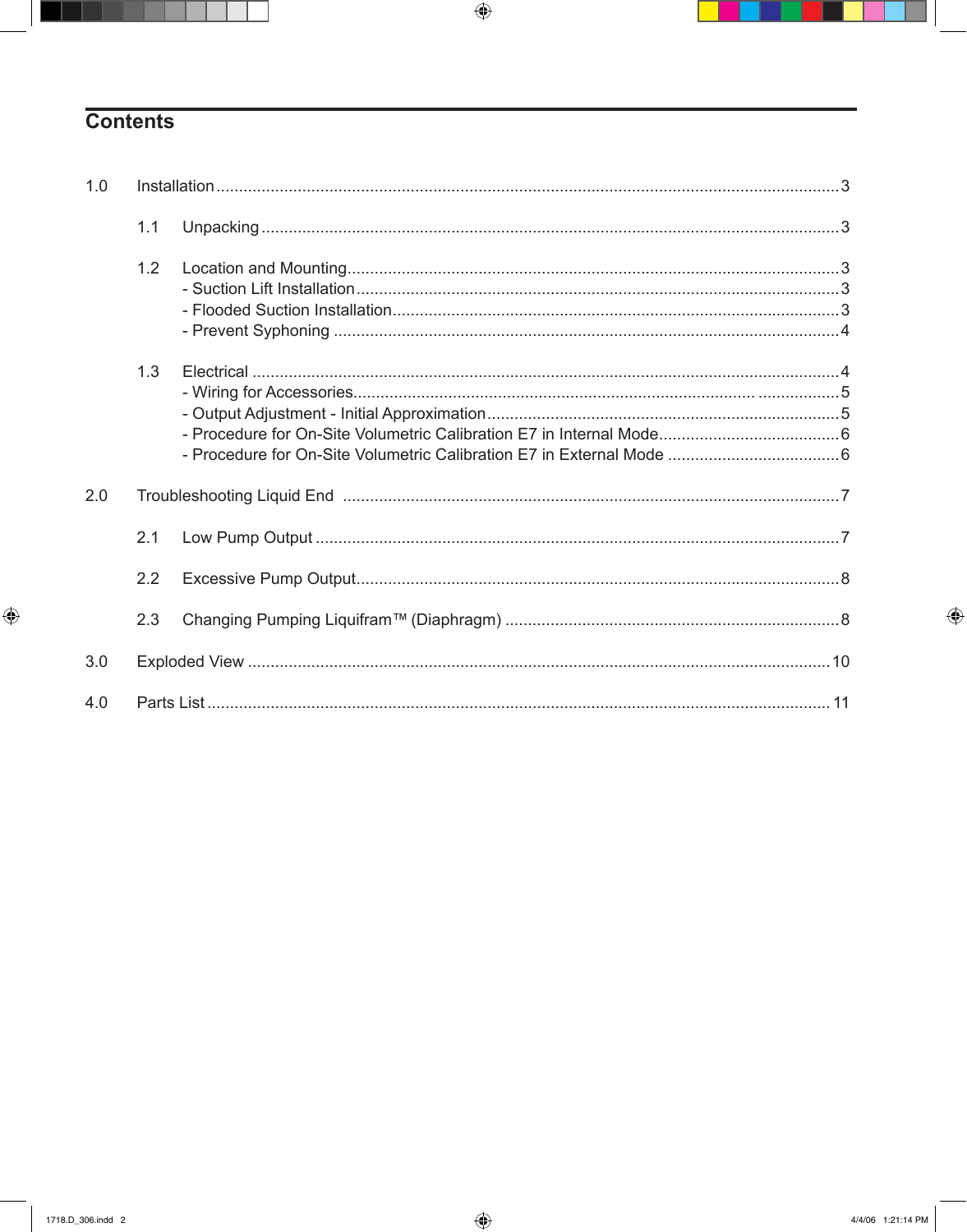# **Contents**

| 1.0 |     |  |  |
|-----|-----|--|--|
|     | 1.1 |  |  |
|     | 1.2 |  |  |
|     | 1.3 |  |  |
| 2.0 |     |  |  |
|     | 2.1 |  |  |
|     | 2.2 |  |  |
|     | 2.3 |  |  |
| 3.0 |     |  |  |
| 4.0 |     |  |  |

 $\bigoplus$ 

 $\bigoplus$ 

٠

 $\bigoplus$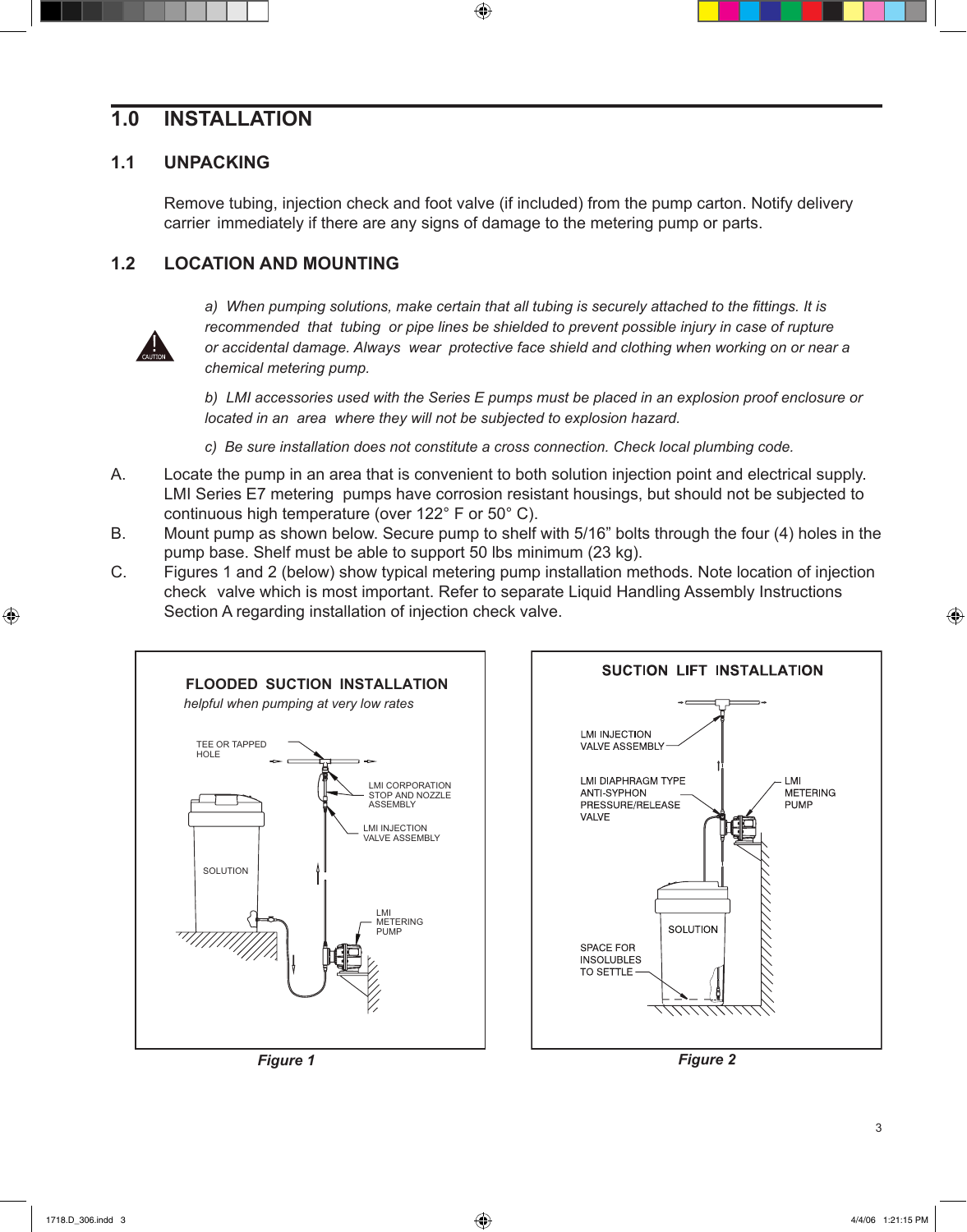# **1.0 INSTALLATION**

#### **1.1 UNPACKING**

Remove tubing, injection check and foot valve (if included) from the pump carton. Notify delivery carrier immediately if there are any signs of damage to the metering pump or parts.

 $\bigoplus$ 

# **1.2 LOCATION AND MOUNTING**



⊕

a) When pumping solutions, make certain that all tubing is securely attached to the fittings. It is  *recommended that tubing or pipe lines be shielded to prevent possible injury in case of rupture or accidental damage. Always wear protective face shield and clothing when working on or near a chemical metering pump.*

 *b) LMI accessories used with the Series E pumps must be placed in an explosion proof enclosure or located in an area where they will not be subjected to explosion hazard.*

 *c) Be sure installation does not constitute a cross connection. Check local plumbing code.*

- A. Locate the pump in an area that is convenient to both solution injection point and electrical supply. LMI Series E7 metering pumps have corrosion resistant housings, but should not be subjected to continuous high temperature (over 122° F or 50° C).
- B. Mount pump as shown below. Secure pump to shelf with 5/16" bolts through the four (4) holes in the pump base. Shelf must be able to support 50 lbs minimum (23 kg).
- C. Figures 1 and 2 (below) show typical metering pump installation methods. Note location of injection check valve which is most important. Refer to separate Liquid Handling Assembly Instructions Section A regarding installation of injection check valve.







*Figure 1 Figure 2*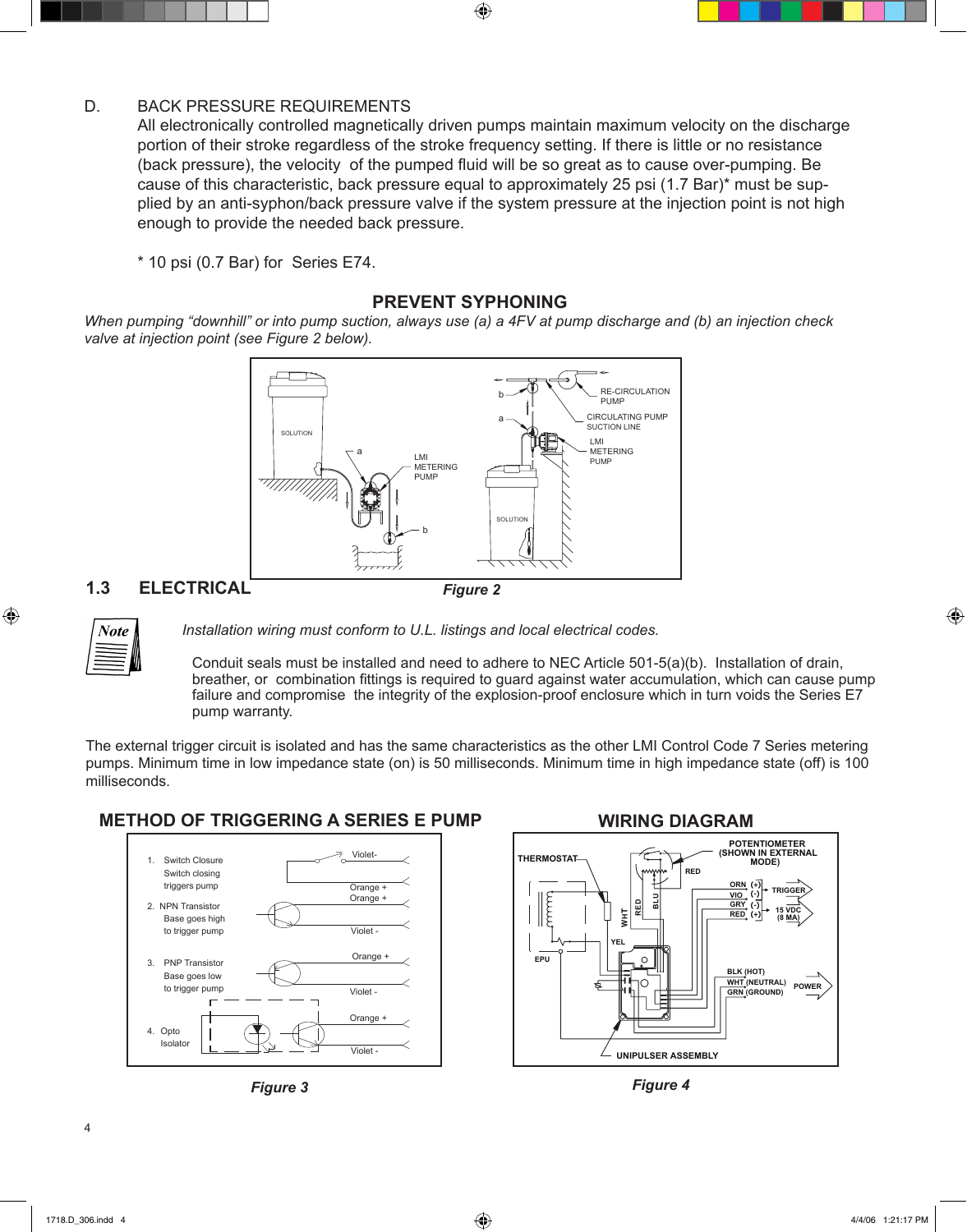#### D. BACK PRESSURE REQUIREMENTS

All electronically controlled magnetically driven pumps maintain maximum velocity on the discharge portion of their stroke regardless of the stroke frequency setting. If there is little or no resistance (back pressure), the velocity of the pumped fluid will be so great as to cause over-pumping. Be cause of this characteristic, back pressure equal to approximately 25 psi (1.7 Bar)\* must be supplied by an anti-syphon/back pressure valve if the system pressure at the injection point is not high enough to provide the needed back pressure.

 $\bigoplus$ 

\* 10 psi (0.7 Bar) for Series E74.

#### **PREVENT SYPHONING**

When pumping "downhill" or into pump suction, always use (a) a 4FV at pump discharge and (b) an injection check *valve at injection point (see Figure 2 below).*



## **1.3 ELECTRICAL**



 $\textcircled{\scriptsize{+}}$ 

 *Installation wiring must conform to U.L. listings and local electrical codes.*

Conduit seals must be installed and need to adhere to NEC Article 501-5(a)(b). Installation of drain, breather, or combination fittings is required to guard against water accumulation, which can cause pump failure and compromise the integrity of the explosion-proof enclosure which in turn voids the Series E7 pump warranty.

The external trigger circuit is isolated and has the same characteristics as the other LMI Control Code 7 Series metering pumps. Minimum time in low impedance state (on) is 50 milliseconds. Minimum time in high impedance state (off) is 100 milliseconds.

## **Method of triggering a Series E pump WIRING DIAGRAM**









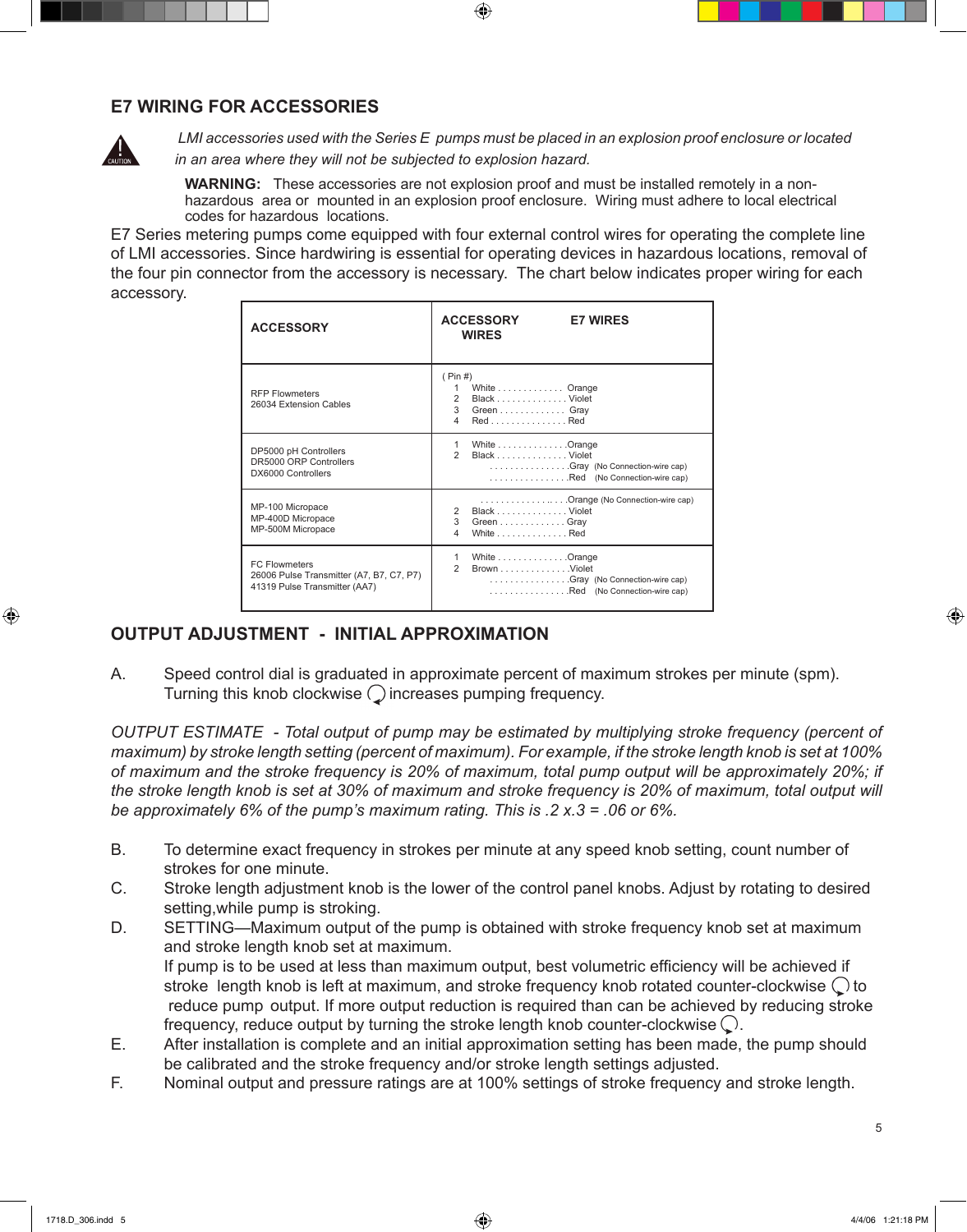#### **E7 WIRING FOR ACCESSORIES**



LMI accessories used with the Series E pumps must be placed in an explosion proof enclosure or located *in an area where they will not be subjected to explosion hazard.*

 **WARNING:** These accessories are not explosion proof and must be installed remotely in a nonhazardous area or mounted in an explosion proof enclosure. Wiring must adhere to local electrical codes for hazardous locations.

E7 Series metering pumps come equipped with four external control wires for operating the complete line of LMI accessories. Since hardwiring is essential for operating devices in hazardous locations, removal of the four pin connector from the accessory is necessary. The chart below indicates proper wiring for each accessory.

 $\textcircled{\scriptsize\textsf{t}}$ 

| <b>ACCESSORY</b>                                                                                  | <b>ACCESSORY</b><br><b>E7 WIRES</b><br><b>WIRES</b>                                                                 |
|---------------------------------------------------------------------------------------------------|---------------------------------------------------------------------------------------------------------------------|
| <b>RFP Flowmeters</b><br>26034 Extension Cables                                                   | ( Pin# )<br>White Orange<br>1<br>2<br>Black Violet<br>3 Green Gray<br>4<br>RedRed                                   |
| DP5000 pH Controllers<br>DR5000 ORP Controllers<br>DX6000 Controllers                             | White Orange<br>1<br>Black Violet<br>$\mathcal{P}$<br>Gray (No Connection-wire cap)<br>Red (No Connection-wire cap) |
| MP-100 Micropace<br>MP-400D Micropace<br>MP-500M Micropace                                        | Orange (No Connection-wire cap)<br>Black Violet<br>3<br>Green Gray<br>4<br>White Red                                |
| <b>FC Flowmeters</b><br>26006 Pulse Transmitter (A7, B7, C7, P7)<br>41319 Pulse Transmitter (AA7) | 1<br>White Orange<br>2<br>Brown Violet<br>Gray (No Connection-wire cap)<br>Red (No Connection-wire cap)             |

#### **OUTPUT ADJUSTMENT - INITIAL APPROXIMATION**

A. Speed control dial is graduated in approximate percent of maximum strokes per minute (spm). Turning this knob clockwise  $\bigcirc$  increases pumping frequency.

*Output Estimate - Total output of pump may be estimated by multiplying stroke frequency (percent of* maximum) by stroke length setting (percent of maximum). For example, if the stroke length knob is set at 100% of maximum and the stroke frequency is 20% of maximum, total pump output will be approximately 20%; if the stroke length knob is set at 30% of maximum and stroke frequency is 20% of maximum, total output will *be approximately 6% of the pump's maximum rating. This is .2 x.3 = .06 or 6%.*

- B. To determine exact frequency in strokes per minute at any speed knob setting, count number of strokes for one minute.
- C. Stroke length adjustment knob is the lower of the control panel knobs. Adjust by rotating to desired setting,while pump is stroking.
- D. SETTING—Maximum output of the pump is obtained with stroke frequency knob set at maximum and stroke length knob set at maximum. If pump is to be used at less than maximum output, best volumetric efficiency will be achieved if stroke length knob is left at maximum, and stroke frequency knob rotated counter-clockwise  $\bigcirc$  to reduce pump output. If more output reduction is required than can be achieved by reducing stroke frequency, reduce output by turning the stroke length knob counter-clockwise  $\mathbb Q$ .
- E. After installation is complete and an initial approximation setting has been made, the pump should be calibrated and the stroke frequency and/or stroke length settings adjusted.
- F. Nominal output and pressure ratings are at 100% settings of stroke frequency and stroke length.

⊕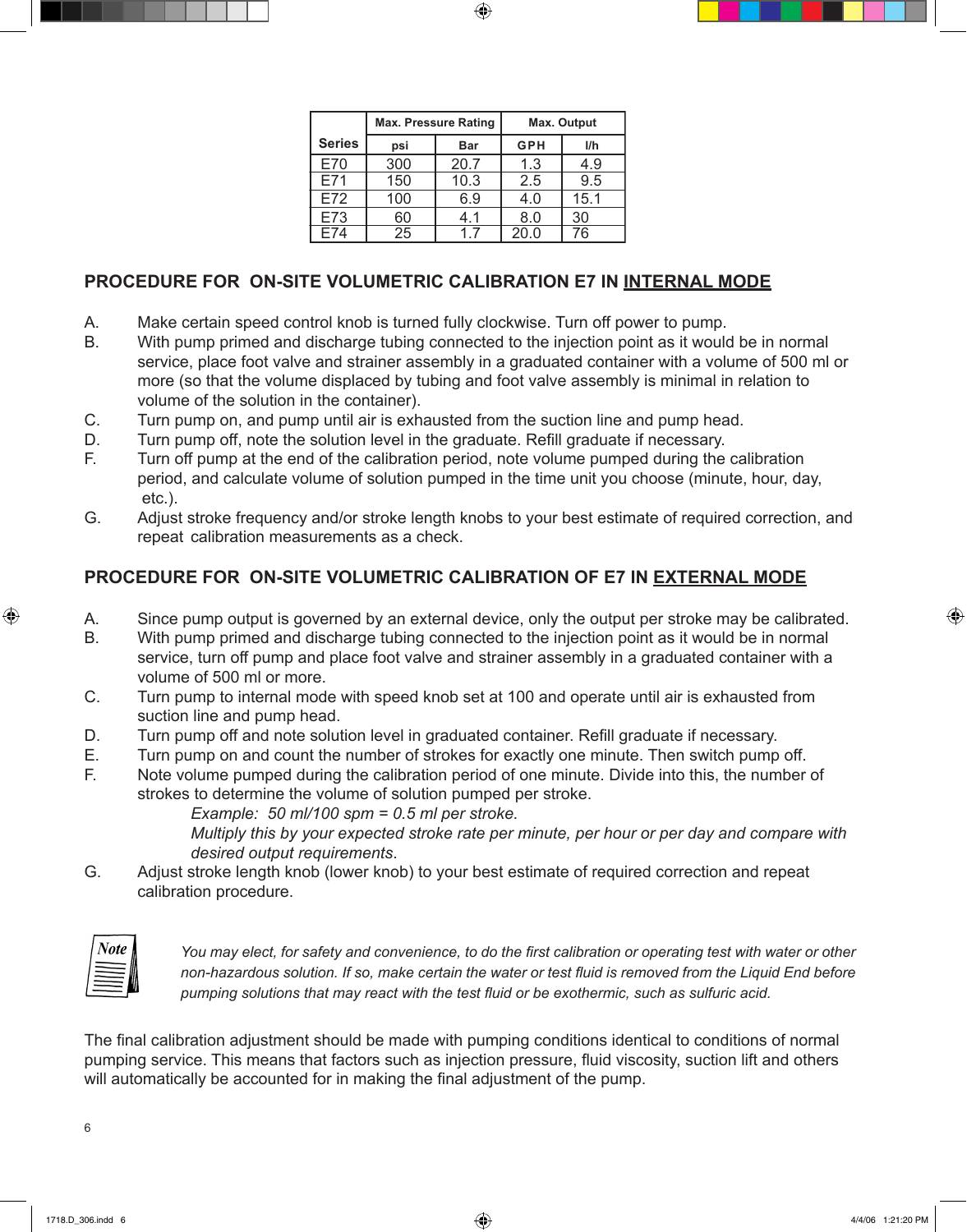|               | <b>Max. Pressure Rating</b> |            | <b>Max. Output</b> |      |
|---------------|-----------------------------|------------|--------------------|------|
| <b>Series</b> | psi                         | <b>Bar</b> | <b>GPH</b>         | I/h  |
| E70           | 300                         | 20.7       | 1.3                | 4.9  |
| E71           | 150                         | 10.3       | 2.5                | 9.5  |
| E72           | 100                         | 6.9        | 4.0                | 15.1 |
| E73           | 60                          | 4.1        | 8.0                | 30   |
| F74           | 25                          | 17         | 20.0               | 76   |

⊕

# **PROCEDURE FOR ON-SITE VOLUMETRIC CALIBRATION E7 IN INTERNAL MODE**

- A. Make certain speed control knob is turned fully clockwise. Turn off power to pump.
- B. With pump primed and discharge tubing connected to the injection point as it would be in normal service, place foot valve and strainer assembly in a graduated container with a volume of 500 ml or more (so that the volume displaced by tubing and foot valve assembly is minimal in relation to volume of the solution in the container).
- C. Turn pump on, and pump until air is exhausted from the suction line and pump head.
- D. Turn pump off, note the solution level in the graduate. Refill graduate if necessary.
- F. Turn off pump at the end of the calibration period, note volume pumped during the calibration period, and calculate volume of solution pumped in the time unit you choose (minute, hour, day, etc.).
- G. Adjust stroke frequency and/or stroke length knobs to your best estimate of required correction, and repeat calibration measurements as a check.

#### **PROCEDURE FOR ON-SITE VOLUMETRIC CALIBRATION OF E7 IN EXTERNAL MODE**

- A. Since pump output is governed by an external device, only the output per stroke may be calibrated.
- B. With pump primed and discharge tubing connected to the injection point as it would be in normal service, turn off pump and place foot valve and strainer assembly in a graduated container with a volume of 500 ml or more.
- C. Turn pump to internal mode with speed knob set at 100 and operate until air is exhausted from suction line and pump head.
- D. Turn pump off and note solution level in graduated container. Refill graduate if necessary.
- E. Turn pump on and count the number of strokes for exactly one minute. Then switch pump off.
- F. Note volume pumped during the calibration period of one minute. Divide into this, the number of strokes to determine the volume of solution pumped per stroke.

 *Example: 50 ml/100 spm = 0.5 ml per stroke.*

 *Multiply this by your expected stroke rate per minute, per hour or per day and compare with desired output requirements*.

G. Adjust stroke length knob (lower knob) to your best estimate of required correction and repeat calibration procedure.

| ote |  |
|-----|--|
|     |  |

⊕

You may elect, for safety and convenience, to do the first calibration or operating test with water or other non-hazardous solution. If so, make certain the water or test fluid is removed from the Liquid End before *pumping solutions that may react with the test fluid or be exothermic, such as sulfuric acid.*

The final calibration adjustment should be made with pumping conditions identical to conditions of normal pumping service. This means that factors such as injection pressure, fluid viscosity, suction lift and others will automatically be accounted for in making the final adjustment of the pump.

 $\,6\,$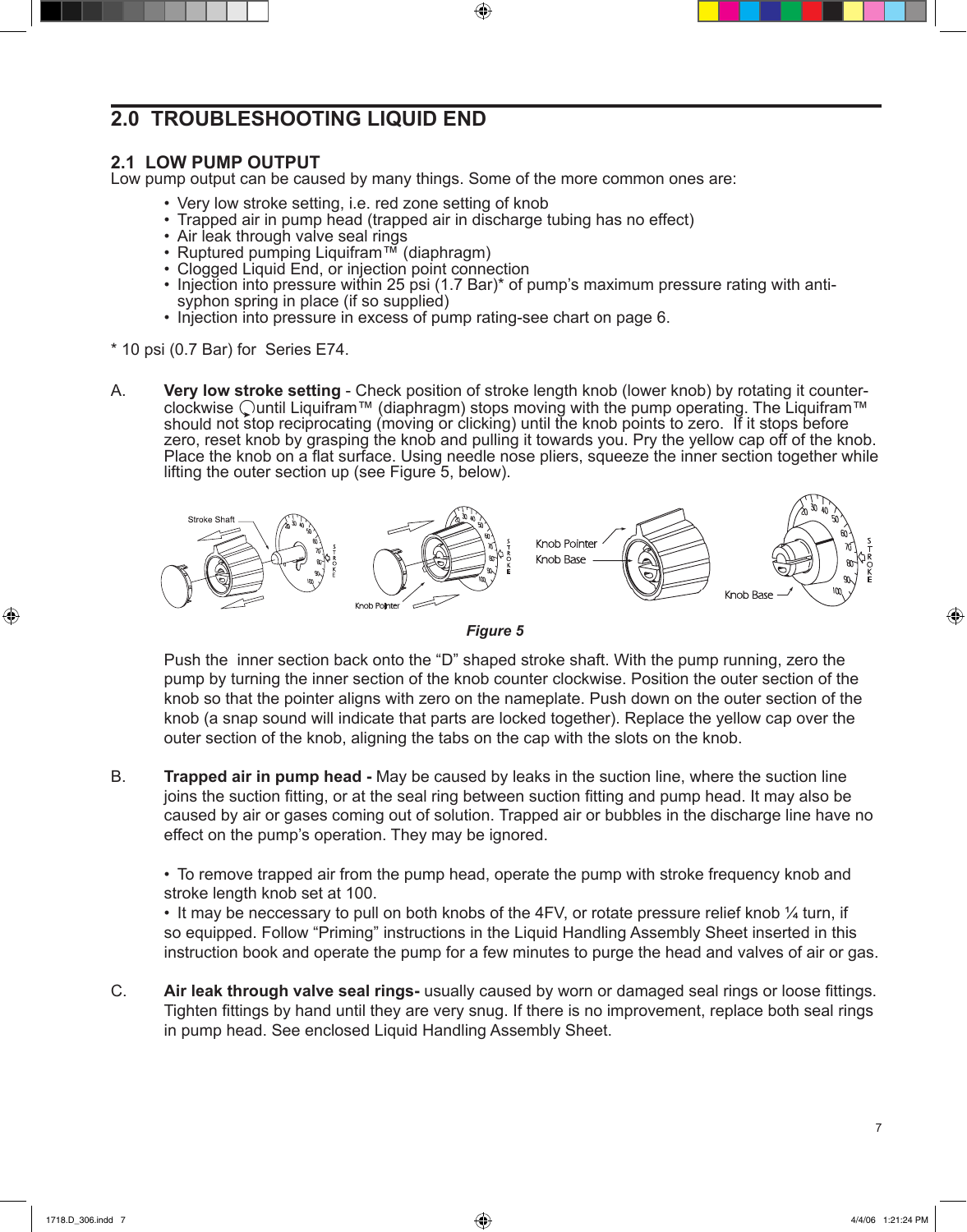# **2.0 TROUBLESHOOTING LIQUID END**

#### **2.1 LOW PUMP OUTPUT**

Low pump output can be caused by many things. Some of the more common ones are:

- Very low stroke setting, i.e. red zone setting of knob
- Trapped air in pump head (trapped air in discharge tubing has no effect)
- Air leak through valve seal rings
- Ruptured pumping Liquifram™ (diaphragm)
- Clogged Liquid End, or injection point connection
- Injection into pressure within 25 psi (1.7 Bar)\* of pump's maximum pressure rating with antisyphon spring in place (if so supplied)

⊕

- Injection into pressure in excess of pump rating-see chart on page 6.
- \* 10 psi (0.7 Bar) for Series E74.
- A. **Very low stroke setting** Check position of stroke length knob (lower knob) by rotating it counterclockwise  $\bigcirc$ until Liquifram™ (diaphragm) stops moving with the pump operating. The Liquifram™ should not stop reciprocating (moving or clicking) until the knob points to zero. If it stops before zero, reset knob by grasping the knob and pulling it towards you. Pry the yellow cap off of the knob. Place the knob on a flat surface. Using needle nose pliers, squeeze the inner section together while lifting the outer section up (see Figure 5, below).





Push the inner section back onto the "D" shaped stroke shaft. With the pump running, zero the pump by turning the inner section of the knob counter clockwise. Position the outer section of the knob so that the pointer aligns with zero on the nameplate. Push down on the outer section of the knob (a snap sound will indicate that parts are locked together). Replace the yellow cap over the outer section of the knob, aligning the tabs on the cap with the slots on the knob.  $\mathcal{L} = \mathcal{L}$ 

B. **Trapped air in pump head -** May be caused by leaks in the suction line, where the suction line joins the suction fitting, or at the seal ring between suction fitting and pump head. It may also be caused by air or gases coming out of solution. Trapped air or bubbles in the discharge line have no effect on the pump's operation. They may be ignored.

• To remove trapped air from the pump head, operate the pump with stroke frequency knob and stroke length knob set at 100.

• It may be neccessary to pull on both knobs of the 4FV, or rotate pressure relief knob 1/4 turn, if so equipped. Follow "Priming" instructions in the Liquid Handling Assembly Sheet inserted in this instruction book and operate the pump for a few minutes to purge the head and valves of air or gas.

C. **Air leak through valve seal rings-** usually caused by worn or damaged seal rings or loose fittings. Tighten fittings by hand until they are very snug. If there is no improvement, replace both seal rings in pump head. See enclosed Liquid Handling Assembly Sheet.

⊕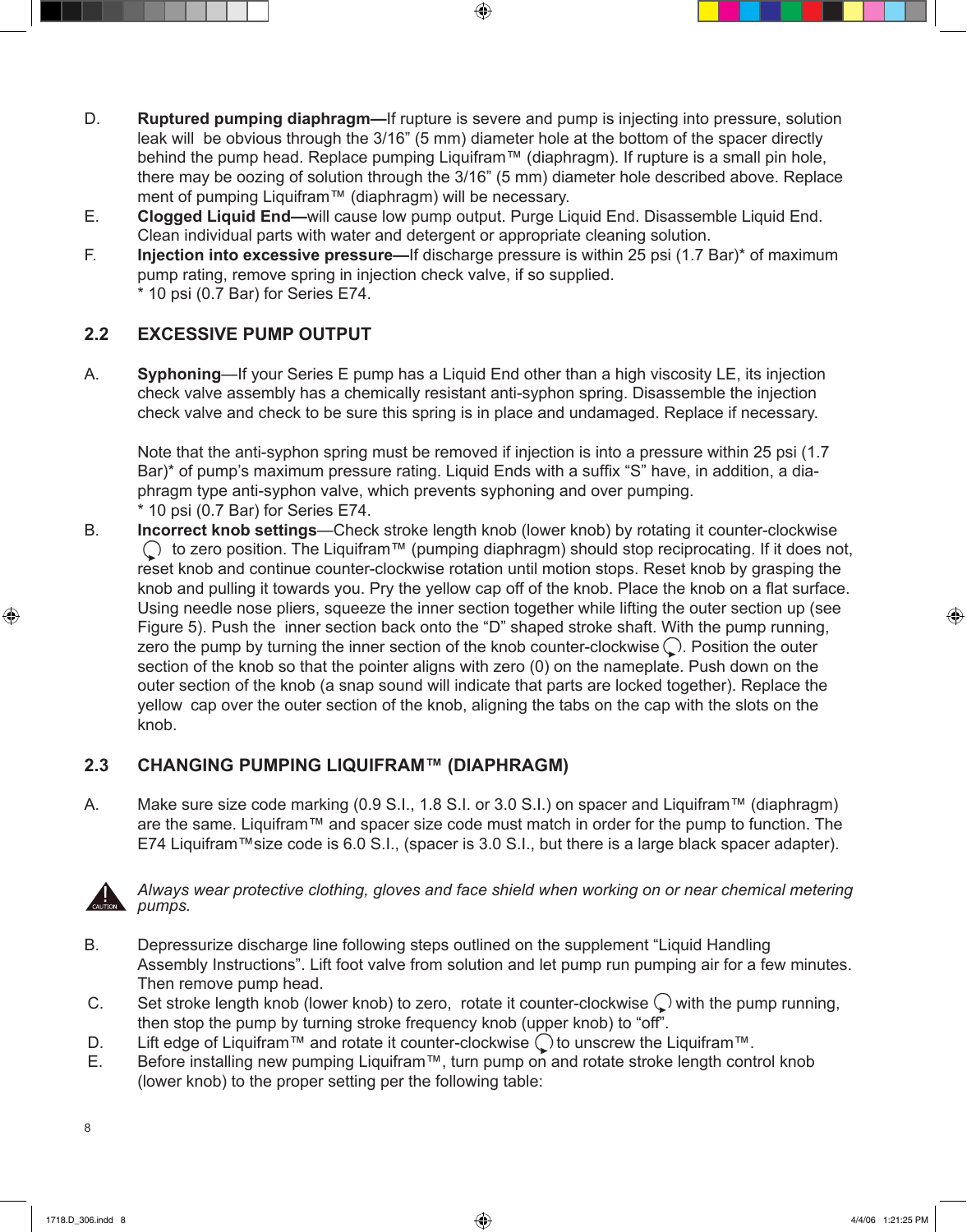D. **Ruptured pumping diaphragm—**If rupture is severe and pump is injecting into pressure, solution leak will be obvious through the 3/16" (5 mm) diameter hole at the bottom of the spacer directly behind the pump head. Replace pumping Liquifram™ (diaphragm). If rupture is a small pin hole, there may be oozing of solution through the 3/16" (5 mm) diameter hole described above. Replace ment of pumping Liquifram™ (diaphragm) will be necessary.

 $\textcircled{\scriptsize{+}}$ 

- E. **Clogged Liquid End—**will cause low pump output. Purge Liquid End. Disassemble Liquid End. Clean individual parts with water and detergent or appropriate cleaning solution.
- F. **Injection into excessive pressure—**If discharge pressure is within 25 psi (1.7 Bar)\* of maximum pump rating, remove spring in injection check valve, if so supplied. \* 10 psi (0.7 Bar) for Series E74.

# **2.2 EXCESSIVE PUMP OUTPUT**

A. **Syphoning**—If your Series E pump has a Liquid End other than a high viscosity LE, its injection check valve assembly has a chemically resistant anti-syphon spring. Disassemble the injection check valve and check to be sure this spring is in place and undamaged. Replace if necessary.

Note that the anti-syphon spring must be removed if injection is into a pressure within 25 psi (1.7 Bar)\* of pump's maximum pressure rating. Liquid Ends with a suffix "S" have, in addition, a diaphragm type anti-syphon valve, which prevents syphoning and over pumping. \* 10 psi (0.7 Bar) for Series E74.

B. **Incorrect knob settings**—Check stroke length knob (lower knob) by rotating it counter-clockwise  $\bigcirc$  to zero position. The Liquifram™ (pumping diaphragm) should stop reciprocating. If it does not, reset knob and continue counter-clockwise rotation until motion stops. Reset knob by grasping the knob and pulling it towards you. Pry the yellow cap off of the knob. Place the knob on a flat surface. Using needle nose pliers, squeeze the inner section together while lifting the outer section up (see Figure 5). Push the inner section back onto the "D" shaped stroke shaft. With the pump running, zero the pump by turning the inner section of the knob counter-clockwise  $\bigcirc$ . Position the outer section of the knob so that the pointer aligns with zero (0) on the nameplate. Push down on the outer section of the knob (a snap sound will indicate that parts are locked together). Replace the yellow cap over the outer section of the knob, aligning the tabs on the cap with the slots on the knob.

## **2.3 CHANGING PUMPING LIQUIFRAM™ (DIAPHRAGM)**

A. Make sure size code marking (0.9 S.I., 1.8 S.I. or 3.0 S.I.) on spacer and Liquifram™ (diaphragm) are the same. Liquifram™ and spacer size code must match in order for the pump to function. The E74 Liquifram™size code is 6.0 S.I., (spacer is 3.0 S.I., but there is a large black spacer adapter).



⊕

 *Always wear protective clothing, gloves and face shield when working on or near chemical metering pumps.*

- B. Depressurize discharge line following steps outlined on the supplement "Liquid Handling Assembly Instructions". Lift foot valve from solution and let pump run pumping air for a few minutes. Then remove pump head.
- C. Set stroke length knob (lower knob) to zero, rotate it counter-clockwise  $\bigcirc$  with the pump running, then stop the pump by turning stroke frequency knob (upper knob) to "off".
- D. Lift edge of Liquifram™ and rotate it counter-clockwise  $\bigcirc$  to unscrew the Liquifram™.
- E. Before installing new pumping Liquifram™, turn pump on and rotate stroke length control knob (lower knob) to the proper setting per the following table:

8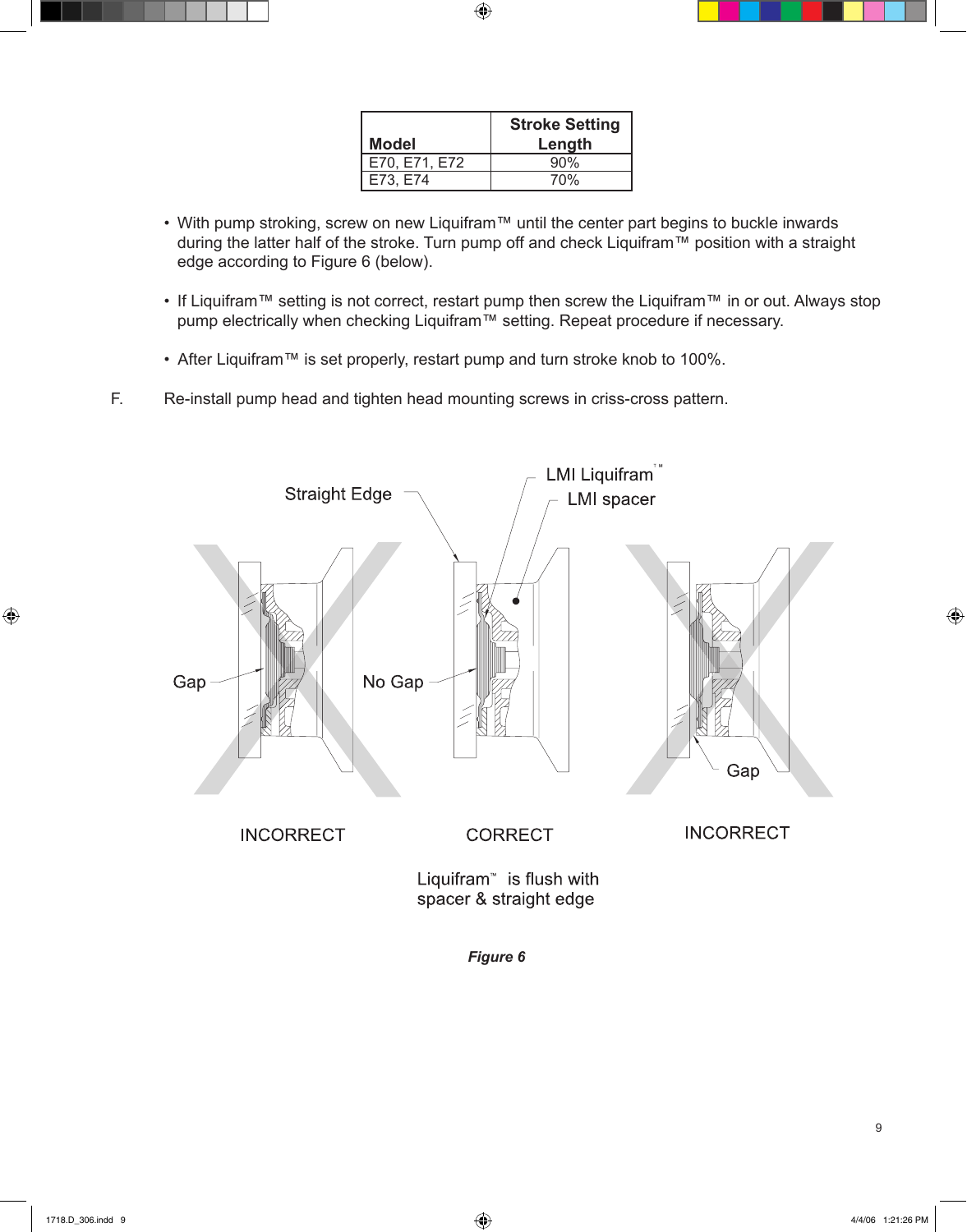|               | <b>Stroke Setting</b> |
|---------------|-----------------------|
| <b>Model</b>  | Length                |
| E70, E71, E72 | 90%                   |
| E73, E74      | 70%                   |

 $\bigoplus$ 

- With pump stroking, screw on new Liquifram™ until the center part begins to buckle inwards during the latter half of the stroke. Turn pump off and check Liquifram™ position with a straight edge according to Figure 6 (below).
- If Liquifram™ setting is not correct, restart pump then screw the Liquifram™ in or out. Always stop pump electrically when checking Liquifram™ setting. Repeat procedure if necessary.
- After Liquifram™ is set properly, restart pump and turn stroke knob to 100%.
- F. Re-install pump head and tighten head mounting screws in criss-cross pattern.



*Figure 6*

⊕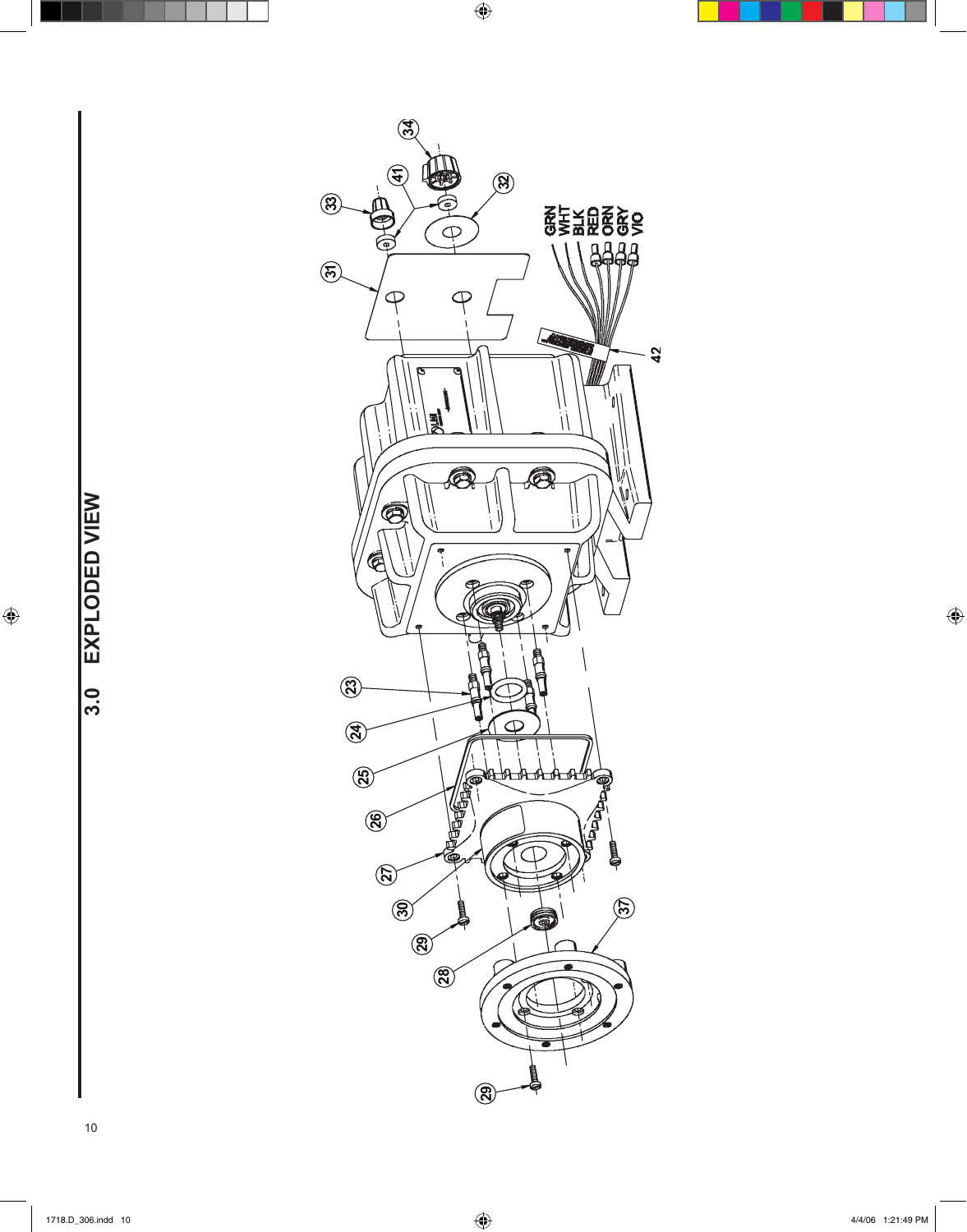

 $\bigoplus$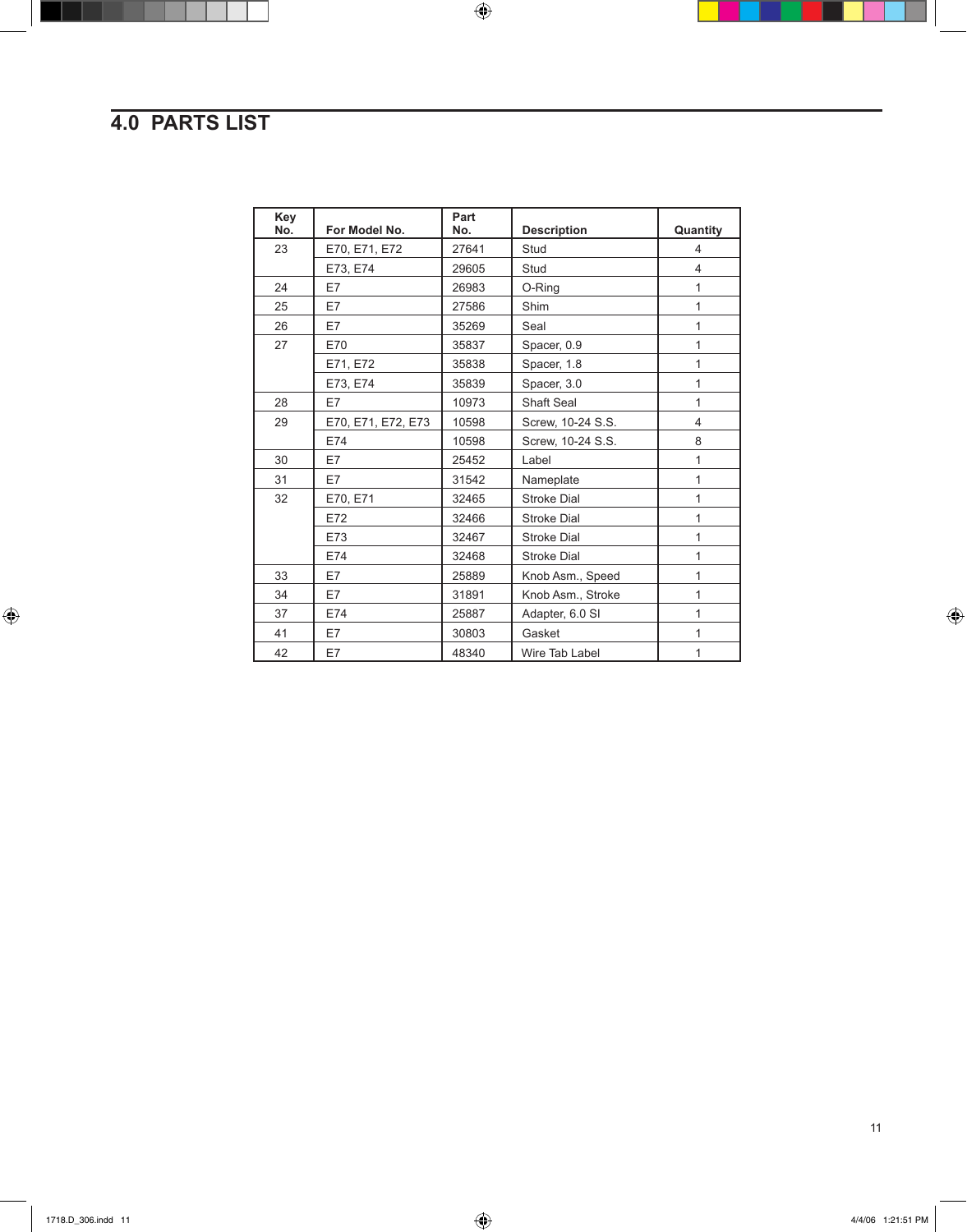# **4.0 PARTS LIST**

| Key<br>No. | For Model No.      | Part<br>No. | <b>Description</b> | Quantity       |
|------------|--------------------|-------------|--------------------|----------------|
| 23         | E70, E71, E72      | 27641       | Stud               | 4              |
|            | E73, E74           | 29605       | Stud               | $\overline{4}$ |
| 24         | E7                 | 26983       | O-Ring             | 1              |
| 25         | E7                 | 27586       | Shim               | 1              |
| 26         | E7                 | 35269       | Seal               | 1              |
| 27         | E70                | 35837       | Spacer, 0.9        | 1              |
|            | E71, E72           | 35838       | Spacer, 1.8        | 1              |
|            | E73, E74           | 35839       | Spacer, 3.0        | 1              |
| 28         | E7                 | 10973       | Shaft Seal         | $\mathbf{1}$   |
| 29         | E70, E71, E72, E73 | 10598       | Screw, 10-24 S.S.  | $\overline{4}$ |
|            | E74                | 10598       | Screw, 10-24 S.S.  | 8              |
| 30         | E7                 | 25452       | Label              | 1              |
| 31         | E7                 | 31542       | Nameplate          | 1              |
| 32         | E70, E71           | 32465       | <b>Stroke Dial</b> | 1              |
|            | E72                | 32466       | <b>Stroke Dial</b> | 1              |
|            | E73                | 32467       | <b>Stroke Dial</b> | 1              |
|            | E74                | 32468       | <b>Stroke Dial</b> | 1              |
| 33         | E7                 | 25889       | Knob Asm., Speed   | 1              |
| 34         | E7                 | 31891       | Knob Asm., Stroke  | 1              |
| 37         | E74                | 25887       | Adapter, 6.0 SI    | 1              |
| 41         | E7                 | 30803       | Gasket             | 1              |
| 42         | E7                 | 48340       | Wire Tab Label     | 1              |

 $\bigoplus$ 

11

٠

 $\bigoplus$